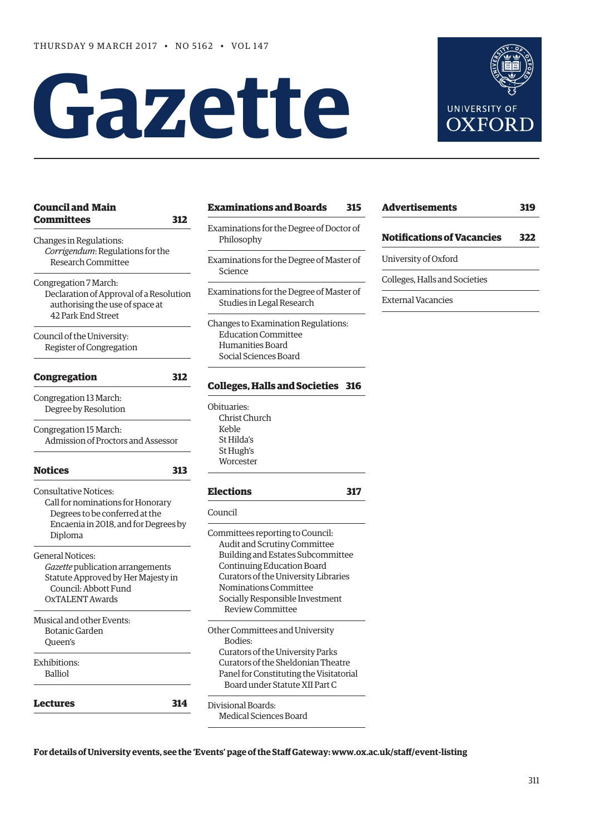# **Gazette**



| <b>Council and Main</b>                                                                                                                                | <b>Examinations and Boards</b><br>315                                                                                                                                                                                          |  |
|--------------------------------------------------------------------------------------------------------------------------------------------------------|--------------------------------------------------------------------------------------------------------------------------------------------------------------------------------------------------------------------------------|--|
| <b>Committees</b><br>312<br>Changes in Regulations:                                                                                                    | Examinations for the Degree of Doctor of<br>Philosophy                                                                                                                                                                         |  |
| Corrigendum: Regulations for the<br>Research Committee                                                                                                 | Examinations for the Degree of Master of<br>Science                                                                                                                                                                            |  |
| Congregation 7 March:<br>Declaration of Approval of a Resolution<br>authorising the use of space at<br>42 Park End Street                              | Examinations for the Degree of Master of<br>Studies in Legal Research                                                                                                                                                          |  |
| Council of the University:<br>Register of Congregation                                                                                                 | Changes to Examination Regulations:<br><b>Education Committee</b><br>Humanities Board<br>Social Sciences Board                                                                                                                 |  |
| <b>Congregation</b><br>312                                                                                                                             | <b>Colleges, Halls and Societies 316</b>                                                                                                                                                                                       |  |
| Congregation 13 March:<br>Degree by Resolution                                                                                                         | Obituaries:<br>Christ Church<br>Keble                                                                                                                                                                                          |  |
| Congregation 15 March:<br>Admission of Proctors and Assessor                                                                                           | St Hilda's<br>St Hugh's<br>Worcester                                                                                                                                                                                           |  |
| <b>Notices</b><br>313                                                                                                                                  |                                                                                                                                                                                                                                |  |
| <b>Consultative Notices:</b><br>Call for nominations for Honorary<br>Degrees to be conferred at the<br>Encaenia in 2018, and for Degrees by<br>Diploma | <b>Elections</b><br>317<br>Council<br>Committees reporting to Council:                                                                                                                                                         |  |
| <b>General Notices:</b><br>Gazette publication arrangements<br>Statute Approved by Her Majesty in<br>Council: Abbott Fund<br><b>OXTALENT Awards</b>    | Audit and Scrutiny Committee<br>Building and Estates Subcommittee<br>Continuing Education Board<br>Curators of the University Libraries<br>Nominations Committee<br>Socially Responsible Investment<br><b>Review Committee</b> |  |
| Musical and other Events:<br><b>Botanic Garden</b><br>Queen's                                                                                          | Other Committees and University<br>Bodies:                                                                                                                                                                                     |  |
| Exhibitions:<br><b>Balliol</b>                                                                                                                         | Curators of the University Parks<br>Curators of the Sheldonian Theatre<br>Panel for Constituting the Visitatorial<br>Board under Statute XII Part C                                                                            |  |
| <b>Lectures</b><br>314                                                                                                                                 | Divisional Boards:<br>Medical Sciences Board                                                                                                                                                                                   |  |

| <b>Advertisements</b>             | 319 |
|-----------------------------------|-----|
| <b>Notifications of Vacancies</b> | 322 |
| University of Oxford              |     |
| Colleges, Halls and Societies     |     |
| External Vacancies                |     |
|                                   |     |

**For details of University events, see the 'Events' page of the Staff Gateway: [www.ox.ac.uk/staff/event-listing](http://www.ox.ac.uk/staff/event-listing)**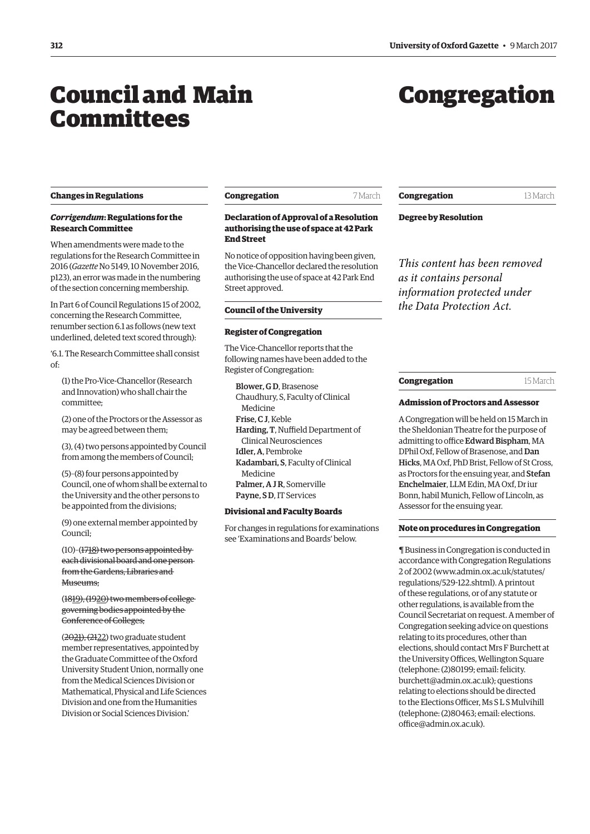## <span id="page-1-0"></span>Council and Main **Committees**

# Congregation

#### **Changes in Regulations**

#### *Corrigendum***: Regulations for the Research Committee**

When amendments were made to the regulations for the Research Committee in 2016 (*Gazette* No 5149, 10 November 2016, p123), an error was made in the numbering of the section concerning membership.

In Part 6 of Council Regulations 15 of 2002, concerning the Research Committee, renumber section 6.1 as follows (new text underlined, deleted text scored through):

'6.1. The Research Committee shall consist of:

(1) the Pro-Vice-Chancellor (Research and Innovation) who shall chair the committee;

(2) one of the Proctors or the Assessor as may be agreed between them;

(3), (4) two persons appointed by Council from among the members of Council;

(5)–(8) four persons appointed by Council, one of whom shall be external to the University and the other persons to be appointed from the divisions;

(9) one external member appointed by Council;

(10)–(1718) two persons appointed by each divisional board and one person from the Gardens, Libraries and Museums.

(1819), (1920) two members of college governing bodies appointed by the Conference of Colleges;

(2021), (2122) two graduate student member representatives, appointed by the Graduate Committee of the Oxford University Student Union, normally one from the Medical Sciences Division or Mathematical, Physical and Life Sciences Division and one from the Humanities Division or Social Sciences Division.'

| Congregation | 7 March |
|--------------|---------|
|              |         |

#### **Declaration of Approval of a Resolution authorising the use of space at 42 Park End Street**

No notice of opposition having been given, the Vice-Chancellor declared the resolution authorising the use of space at 42 Park End Street approved.

#### **Council of the University**

#### **Register of Congregation**

The Vice-Chancellor reports that the following names have been added to the Register of Congregation:

Blower, G D, Brasenose Chaudhury, S, Faculty of Clinical Medicine Frise, C J, Keble Harding, T, Nuffield Department of Clinical Neurosciences Idler, A, Pembroke Kadambari, S, Faculty of Clinical Medicine Palmer, A J R, Somerville Payne, SD, IT Services

#### **Divisional and Faculty Boards**

For changes in regulations for examinations see ['Examinations and Boards'](#page-5-0) below.

#### **Congregation** 13 March

**Degree by Resolution**

*This content has been removed as it contains personal information protected under the Data Protection Act.*

#### **Congregation** 15 March

#### **Admission of Proctors and Assessor**

A Congregation will be held on 15 March in the Sheldonian Theatre for the purpose of admitting to office Edward Bispham, MA DPhil Oxf, Fellow of Brasenose, and Dan Hicks, MA Oxf, PhD Brist, Fellow of St Cross, as Proctors for the ensuing year, and Stefan Enchelmaier, LLM Edin, MA Oxf, Dr iur Bonn, habil Munich, Fellow of Lincoln, as Assessor for the ensuing year.

#### **Note on procedures in Congregation**

¶ Business in Congregation is conducted in accordance with Congregation Regulations 2 of 2002 [\(www.admin.ox.ac.uk/statutes/](http://www.admin.ox.ac.uk/statutes/regulations/529-122.shtml) [regulations/529-122.shtml\). A p](http://www.admin.ox.ac.uk/statutes/regulations/529-122.shtml)rintout of these regulations, or of any statute or other regulations, is available from the Council Secretariat on request. A member of Congregation seeking advice on questions relating to its procedures, other than elections, should contact Mrs F Burchett at the University Offices, Wellington Square (telephone: (2)80199; email: felicity. [burchett@admin.ox.ac.uk\); questions](mailto:felicity.burchett@admin.ox.ac.uk)  relating to elections should be directed to the Elections Officer, Ms S L S Mulvihill [\(telephone: \(2\)80463; email: elections.](mailto:elections.office@admin.ox.ac.uk) office@admin.ox.ac.uk).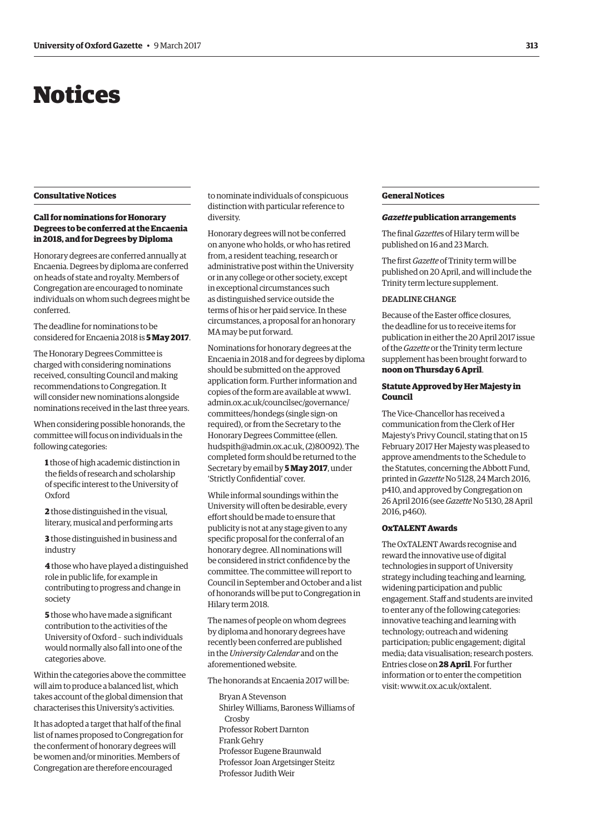# <span id="page-2-0"></span>Notices

#### **Consultative Notices**

#### **Call for nominations for Honorary Degrees to be conferred at the Encaenia in 2018, and for Degrees by Diploma**

Honorary degrees are conferred annually at Encaenia. Degrees by diploma are conferred on heads of state and royalty. Members of Congregation are encouraged to nominate individuals on whom such degrees might be conferred.

The deadline for nominations to be considered for Encaenia 2018 is **5 May 2017**.

The Honorary Degrees Committee is charged with considering nominations received, consulting Council and making recommendations to Congregation. It will consider new nominations alongside nominations received in the last three years.

When considering possible honorands, the committee will focus on individuals in the following categories:

**1** those of high academic distinction in the fields of research and scholarship of specific interest to the University of Oxford

**2** those distinguished in the visual, literary, musical and performing arts

**3** those distinguished in business and industry

**4** those who have played a distinguished role in public life, for example in contributing to progress and change in society

**5** those who have made a significant contribution to the activities of the University of Oxford – such individuals would normally also fall into one of the categories above.

Within the categories above the committee will aim to produce a balanced list, which takes account of the global dimension that characterises this University's activities.

It has adopted a target that half of the final list of names proposed to Congregation for the conferment of honorary degrees will be women and/or minorities. Members of Congregation are therefore encouraged

to nominate individuals of conspicuous distinction with particular reference to diversity.

Honorary degrees will not be conferred on anyone who holds, or who has retired from, a resident teaching, research or administrative post within the University or in any college or other society, except in exceptional circumstances such as distinguished service outside the terms of his or her paid service. In these circumstances, a proposal for an honorary MA may be put forward.

Nominations for honorary degrees at the Encaenia in 2018 and for degrees by diploma should be submitted on the approved application form. Further information and copies of the form are available at www1. [admin.ox.ac.uk/councilsec/governance/](http://www1.admin.ox.ac.uk/councilsec/governance/committees/hondegs) committees/hondegs (single sign-on required), or from the Secretary to the Honorary Degrees Committee (ellen. [hudspith@admin.ox.ac.uk, \(2\)80092\). The](mailto:ellen.hudspith@admin.ox.ac.uk)  completed form should be returned to the Secretary by email by **5 May 2017**, under 'Strictly Confidential' cover.

While informal soundings within the University will often be desirable, every effort should be made to ensure that publicity is not at any stage given to any specific proposal for the conferral of an honorary degree. All nominations will be considered in strict confidence by the committee. The committee will report to Council in September and October and a list of honorands will be put to Congregation in Hilary term 2018.

The names of people on whom degrees by diploma and honorary degrees have recently been conferred are published in the *University Calendar* and on the aforementioned website.

The honorands at Encaenia 2017 will be:

Bryan A Stevenson Shirley Williams, Baroness Williams of Crosby Professor Robert Darnton Frank Gehry Professor Eugene Braunwald Professor Joan Argetsinger Steitz Professor Judith Weir

#### **General Notices**

#### *Gazette* **publication arrangements**

The final *Gazette*s of Hilary term will be published on 16 and 23 March.

The first *Gazette* of Trinity term will be published on 20 April, and will include the Trinity term lecture supplement.

#### DEADLINE CHANGE

Because of the Easter office closures, the deadline for us to receive items for publication in either the 20 April 2017 issue of the *Gazette* or the Trinity term lecture supplement has been brought forward to **noon on Thursday 6 April**.

#### **Statute Approved by Her Majesty in Council**

The Vice-Chancellor has received a communication from the Clerk of Her Majesty's Privy Council, stating that on 15 February 2017 Her Majesty was pleased to approve amendments to the Schedule to the Statutes, concerning the Abbott Fund, printed in *Gazette* No 5128, 24 March 2016, [p410, and approved by Congregation on](http://www.ox.ac.uk/gazette/2015-2016/24march2016-no5128/congregation/#229368)  [26 April 2016 \(see](http://www.ox.ac.uk/gazette/2015-2016/28april2016-no5130/councilandmaincommittees/#230649) *Gazette* No 5130, 28 April 2016, p460).

#### **OxTALENT Awards**

The OxTALENT Awards recognise and reward the innovative use of digital technologies in support of University strategy including teaching and learning, widening participation and public engagement. Staff and students are invited to enter any of the following categories: innovative teaching and learning with technology; outreach and widening participation; public engagement; digital media; data visualisation; research posters. Entries close on **28 April**. For further information or to enter the competition visit: [www.it.ox.ac.uk/oxtalent.](http://www.it.ox.ac.uk/oxtalent)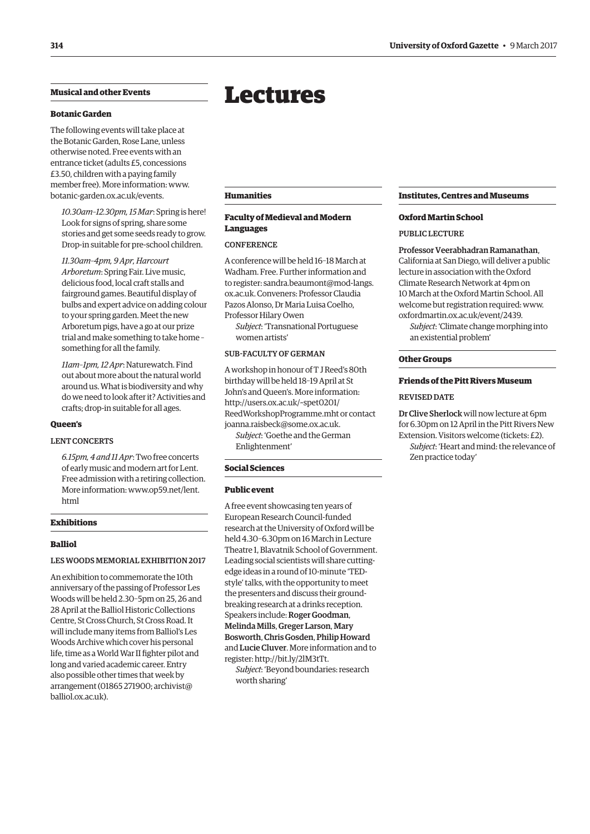#### <span id="page-3-0"></span>**Musical and other Events**

#### **Botanic Garden**

The following events will take place at the Botanic Garden, Rose Lane, unless otherwise noted. Free events with an entrance ticket (adults £5, concessions £3.50, children with a paying family member free). More information: [www.](http://www.botanic-garden.ox.ac.uk/events) [botanic-garden.ox.ac.uk/events.](http://www.botanic-garden.ox.ac.uk/events)

*10.30am–12.30pm, 15 Mar*: Spring is here! Look for signs of spring, share some stories and get some seeds ready to grow. Drop-in suitable for pre-school children.

*11.30am–4pm, 9 Apr, Harcourt Arboretum*: Spring Fair. Live music, delicious food, local craft stalls and fairground games. Beautiful display of bulbs and expert advice on adding colour to your spring garden. Meet the new Arboretum pigs, have a go at our prize trial and make something to take home – something for all the family.

*11am–1pm, 12 Apr*: Naturewatch. Find out about more about the natural world around us. What is biodiversity and why do we need to look after it? Activities and crafts; drop-in suitable for all ages.

#### **Queen's**

#### LENT CONCERTS

*6.15pm, 4 and 11 Apr*: Two free concerts of early music and modern art for Lent. Free admission with a retiring collection. [More information: www.op59.net/lent.](www.op59.net/lent.html) html

#### **Exhibitions**

#### **Balliol**

#### LES WOODS MEMORIAL EXHIBITION 2017

An exhibition to commemorate the 10th anniversary of the passing of Professor Les Woods will be held 2.30–5pm on 25, 26 and 28 April at the Balliol Historic Collections Centre, St Cross Church, St Cross Road. It will include many items from Balliol's Les Woods Archive which cover his personal life, time as a World War II fighter pilot and long and varied academic career. Entry also possible other times that week by [arrangement \(01865 271900; archivist@](mailto:archivist@balliol.ox.ac.uk) balliol.ox.ac.uk).

## Lectures

**Humanities**

#### **Faculty of Medieval and Modern Languages**

#### **CONFERENCE**

A conference will be held 16–18 March at Wadham. Free. Further information and to register[: sandra.beaumont@mod-langs.](mailto:sandra.beaumont@mod-langs.ox.ac.uk) ox.ac.uk. Conveners: Professor Claudia Pazos Alonso, Dr Maria Luisa Coelho, Professor Hilary Owen

*Subject*: 'Transnational Portuguese women artists'

#### SUB-FACULTY OF GERMAN

A workshop in honour of T J Reed's 80th birthday will be held 18–19 April at St John's and Queen's. More information: http://users.ox.ac.uk/~spet0201/ [ReedWorkshopProgramme.mht or contact](http://users.ox.ac.uk/~spet0201/ReedWorkshopProgramme.mht)  [joanna.raisbeck@some.ox.ac.uk.](mailto:joanna.raisbeck@some.ox.ac.uk)

*Subject*: 'Goethe and the German Enlightenment'

#### **Social Sciences**

#### **Public event**

A free event showcasing ten years of European Research Council-funded research at the University of Oxford will be held 4.30–6.30pm on 16 March in Lecture Theatre 1, Blavatnik School of Government. Leading social scientists will share cuttingedge ideas in a round of 10-minute 'TEDstyle' talks, with the opportunity to meet the presenters and discuss their groundbreaking research at a drinks reception. Speakers include: Roger Goodman, Melinda Mills, Greger Larson, Mary Bosworth, Chris Gosden, Philip Howard and Lucie Cluver. More information and to register: [http://bit.ly/2lM3tTt.](http://bit.ly/2lM3tTt)

*Subject*: 'Beyond boundaries: research worth sharing'

#### **Institutes, Centres and Museums**

#### **Oxford Martin School**

#### PUBLIC LECTURE

#### Professor Veerabhadran Ramanathan,

California at San Diego, will deliver a public lecture in association with the Oxford Climate Research Network at 4pm on 10 March at the Oxford Martin School. All welcome but registration required: [www.](http://www.oxfordmartin.ox.ac.uk/event/2439) [oxfordmartin.ox.ac.uk/event/2439.](http://www.oxfordmartin.ox.ac.uk/event/2439)

*Subject*: 'Climate change morphing into an existential problem'

#### **Other Groups**

#### **Friends of the Pitt Rivers Museum**

#### REVISED DATE

Dr Clive Sherlock will now lecture at 6pm for 6.30pm on 12 April in the Pitt Rivers New Extension. Visitors welcome (tickets: £2).

*Subject*: 'Heart and mind: the relevance of Zen practice today'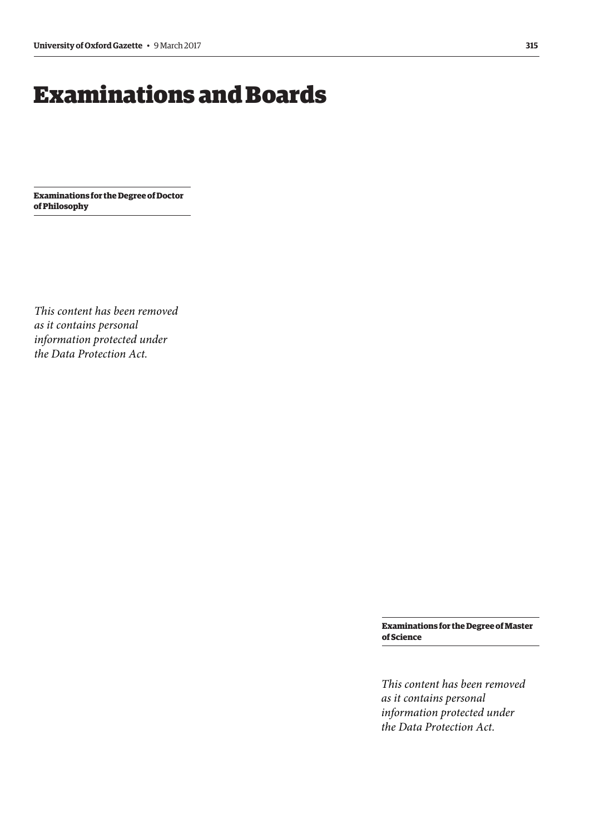# <span id="page-4-0"></span>Examinations and Boards

**Examinations for the Degree of Doctor of Philosophy**

*This content has been removed as it contains personal information protected under the Data Protection Act.*

> **Examinations for the Degree of Master of Science**

*This content has been removed as it contains personal information protected under the Data Protection Act.*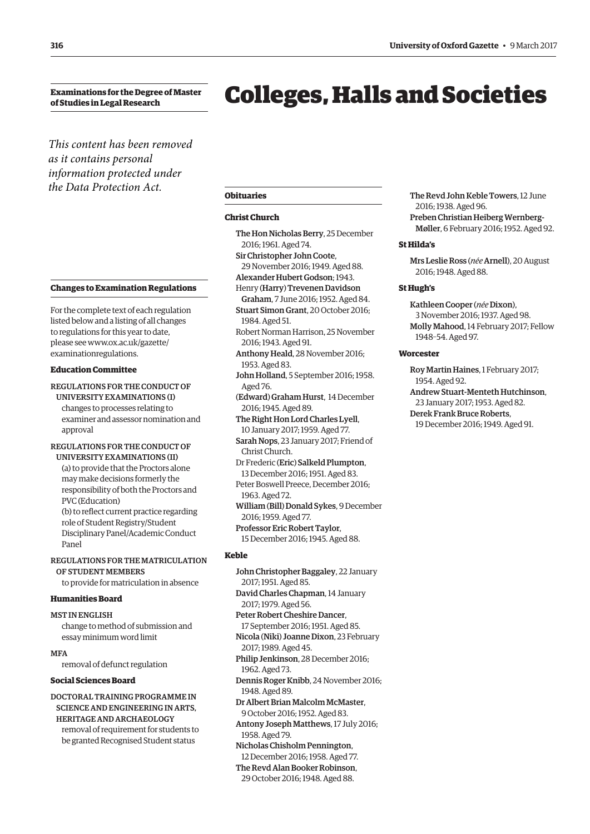<span id="page-5-0"></span>**Examinations for the Degree of Master of Studies in Legal Research**

## Colleges, Halls and Societies

*This content has been removed as it contains personal information protected under the Data Protection Act.*

#### **Changes to Examination Regulations**

For the complete text of each regulation listed below and a listing of all changes to regulations for this year to date, [please see www.ox.ac.uk/gazette/](www.ox.ac.uk/gazette/examinationregulations) examinationregulations.

#### **Education Committee**

REGULATIONS FOR THE CONDUCT OF UNIVERSITY EXAMINATIONS (I) changes to processes relating to

examiner and assessor nomination and approval

#### REGULATIONS FOR THE CONDUCT OF UNIVERSITY EXAMINATIONS (II)

(a) to provide that the Proctors alone may make decisions formerly the responsibility of both the Proctors and PVC (Education) (b) to reflect current practice regarding

role of Student Registry/Student Disciplinary Panel/Academic Conduct Panel

REGULATIONS FOR THE MATRICULATION OF STUDENT MEMBERS

to provide for matriculation in absence

#### **Humanities Board**

MST IN ENGLISH change to method of submission and essay minimum word limit

**MFA** 

removal of defunct regulation

#### **Social Sciences Board**

DOCTORAL TRAINING PROGRAMME IN SCIENCE AND ENGINEERING IN ARTS, HERITAGE AND ARCHAEOLOGY removal of requirement for students to be granted Recognised Student status

#### **Obituaries**

#### **Christ Church**

The Hon Nicholas Berry, 25 December 2016; 1961. Aged 74. Sir Christopher John Coote,

- 29 November 2016; 1949. Aged 88.
- Alexander Hubert Godson; 1943.
- Henry (Harry) Trevenen Davidson
- Graham, 7 June 2016; 1952. Aged 84. Stuart Simon Grant, 20 October 2016; 1984. Aged 51.
- Robert Norman Harrison, 25 November 2016; 1943. Aged 91.
- Anthony Heald, 28 November 2016; 1953. Aged 83.
- John Holland, 5 September 2016; 1958. Aged 76.
- (Edward) Graham Hurst, 14 December 2016; 1945. Aged 89.
- The Right Hon Lord Charles Lyell, 10 January 2017; 1959. Aged 77.

Sarah Nops, 23 January 2017; Friend of Christ Church.

- Dr Frederic (Eric) Salkeld Plumpton, 13 December 2016; 1951. Aged 83.
- Peter Boswell Preece, December 2016; 1963. Aged 72.
- William (Bill) Donald Sykes, 9 December 2016; 1959. Aged 77.

Professor Eric Robert Taylor, 15 December 2016; 1945. Aged 88.

#### **Keble**

- John Christopher Baggaley, 22 January 2017; 1951. Aged 85. David Charles Chapman, 14 January 2017; 1979. Aged 56. Peter Robert Cheshire Dancer, 17 September 2016; 1951. Aged 85. Nicola (Niki) Joanne Dixon, 23 February 2017; 1989. Aged 45. Philip Jenkinson, 28 December 2016; 1962. Aged 73. Dennis Roger Knibb, 24 November 2016; 1948. Aged 89. Dr Albert Brian Malcolm McMaster, 9 October 2016; 1952. Aged 83. Antony Joseph Matthews, 17 July 2016; 1958. Aged 79. Nicholas Chisholm Pennington, 12 December 2016; 1958. Aged 77.
- The Revd Alan Booker Robinson, 29 October 2016; 1948. Aged 88.

The Revd John Keble Towers, 12 June 2016; 1938. Aged 96. Preben Christian Heiberg Wernberg-Møller, 6 February 2016; 1952. Aged 92.

#### **St Hilda's**

Mrs Leslie Ross (*née* Arnell), 20 August 2016; 1948. Aged 88.

#### **St Hugh's**

Kathleen Cooper (*née* Dixon), 3 November 2016; 1937. Aged 98. Molly Mahood, 14 February 2017; Fellow 1948–54. Aged 97.

#### **Worcester**

Roy Martin Haines, 1 February 2017; 1954. Aged 92. Andrew Stuart-Menteth Hutchinson, 23 January 2017; 1953. Aged 82. Derek Frank Bruce Roberts, 19 December 2016; 1949. Aged 91.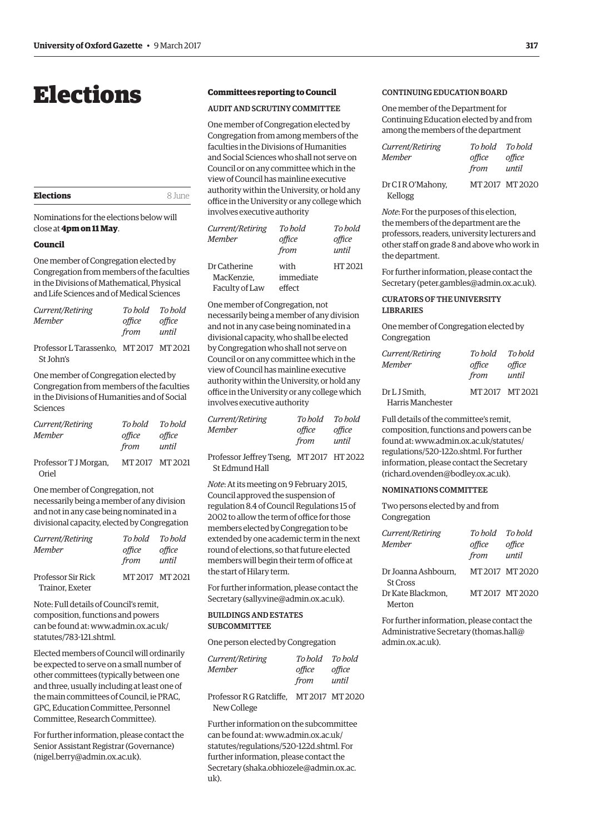## <span id="page-6-0"></span>Elections

| <b>Elections</b> | 8 June |
|------------------|--------|
|                  |        |

Nominations for the elections below will close at **4pm on 11 May**.

#### **Council**

One member of Congregation elected by Congregation from members of the faculties in the Divisions of Mathematical, Physical and Life Sciences and of Medical Sciences

| Current/Retiring                                     | To hold To hold |        |
|------------------------------------------------------|-----------------|--------|
| Member                                               | office          | office |
|                                                      | from            | until  |
| Professor L Tarassenko, MT 2017 MT 2021<br>St John's |                 |        |

One member of Congregation elected by Congregation from members of the faculties in the Divisions of Humanities and of Social Sciences

| Current/Retiring<br><b>Member</b> | To bold<br>office<br>from | To hold<br>office<br>until |
|-----------------------------------|---------------------------|----------------------------|
| Professor T J Morgan,<br>Oriel    | MT 2017 MT 2021           |                            |

One member of Congregation, not necessarily being a member of any division and not in any case being nominated in a divisional capacity, elected by Congregation

| Current/Retiring          | To hold To hold |                 |
|---------------------------|-----------------|-----------------|
| <b>Member</b>             | office          | office          |
|                           | from            | until           |
| <b>Professor Sir Rick</b> |                 | MT 2017 MT 2021 |
| Trainor, Exeter           |                 |                 |

Note: Full details of Council's remit, composition, functions and powers [can be found at: www.admin.ox.ac.uk/](www.admin.ox.ac.uk/statutes/783-121.shtml) statutes/783-121.shtml.

Elected members of Council will ordinarily be expected to serve on a small number of other committees (typically between one and three, usually including at least one of the main committees of Council, ie PRAC, GPC, Education Committee, Personnel Committee, Research Committee).

For further information, please contact the Senior Assistant Registrar (Governance) ([nigel.berry@admin.ox.ac.uk\).](mailto:nigel.berry@admin.ox.ac.uk)

#### **Committees reporting to Council**

#### AUDIT AND SCRUTINY COMMITTEE

One member of Congregation elected by Congregation from among members of the faculties in the Divisions of Humanities and Social Sciences who shall not serve on Council or on any committee which in the view of Council has mainline executive authority within the University, or hold any office in the University or any college which involves executive authority

| Current/Retiring<br>Member | To hold<br>office<br>from | To hold<br>office<br>until |
|----------------------------|---------------------------|----------------------------|
| Dr Catherine<br>MacKenzie. | with<br>immediate         | HT 2021                    |
| Faculty of Law             | effect                    |                            |

One member of Congregation, not necessarily being a member of any division and not in any case being nominated in a divisional capacity, who shall be elected by Congregation who shall not serve on Council or on any committee which in the view of Council has mainline executive authority within the University, or hold any office in the University or any college which involves executive authority

| <i>Current/Retiring</i> | To bold | To bold |
|-------------------------|---------|---------|
| Member                  | office  | office  |
|                         | from    | until   |
|                         |         |         |

Professor Jeffrey Tseng, MT 2017 HT 2022 St Edmund Hall

*Note*: At its meeting on 9 February 2015, Council approved the suspension of regulation 8.4 of Council Regulations 15 of 2002 to allow the term of office for those members elected by Congregation to be extended by one academic term in the next round of elections, so that future elected members will begin their term of office at the start of Hilary term.

For further information, please contact the Secretary ([sally.vine@admin.ox.ac.uk\).](mailto:sally.vine@admin.ox.ac.uk)

#### BUILDINGS AND ESTATES **SUBCOMMITTEE**

One person elected by Congregation

| <i>Current/Retiring</i>                                | To bold To bold |                 |
|--------------------------------------------------------|-----------------|-----------------|
| Member                                                 | office<br>from  | office<br>until |
| $D_{\text{max}}f_{\text{max}} = D \cap D_{\text{max}}$ | MT2017.1010200  |                 |

Professor R G Ratcliffe, MT 2017 MT 2020 New College

Further information on the subcommittee  $c$ an be found at: www.admin.ox.ac.uk/ [statutes/regulations/520-122d.shtml. For](www.admin.ox.ac.uk/statutes/regulations/520-122d.shtml)  further information, please contact the Secretary ([shaka.obhiozele@admin.ox.ac.](mailto:shaka.obhiozele@admin.ox.ac.uk) [uk\).](mailto:shaka.obhiozele@admin.ox.ac.uk)

#### CONTINUING EDUCATION BOARD

One member of the Department for Continuing Education elected by and from among the members of the department

| Current/Retiring           | To hold To hold |                 |
|----------------------------|-----------------|-----------------|
| Member                     | office          | office          |
|                            | from            | until           |
| Dr CIRO'Mahony,<br>Kellogg |                 | MT 2017 MT 2020 |

*Note*: For the purposes of this election, the members of the department are the professors, readers, university lecturers and other staff on grade 8 and above who work in the department.

For further information, please contact the Secretary ([peter.gambles@admin.ox.ac.uk\).](mailto:peter.gambles@admin.ox.ac.uk)

#### CURATORS OF THE UNIVERSITY LIBRARIES

One member of Congregation elected by Congregation

| Current/Retiring  | To hold       | To hold |
|-------------------|---------------|---------|
| Member            | office        | office  |
|                   | from          | until   |
| Dr L J Smith.     | MT2017 MT2021 |         |
| Harris Manchester |               |         |

Full details of the committee's remit, composition, functions and powers can be [found at: www.admin.ox.ac.uk/statutes/](www.admin.ox.ac.uk/statutes/regulations/520-122o.shtml) regulations/520-122o.shtml. For further information, please contact the Secretary [\(richard.ovenden@bodley.ox.ac.uk\).](mailto:richard.ovenden@bodley.ox.ac.uk)

#### NOMINATIONS COMMITTEE

Two persons elected by and from Congregation

| Current/Retiring<br><b>Member</b>      | To hold To hold<br>office | office          |
|----------------------------------------|---------------------------|-----------------|
|                                        | from                      | until           |
| Dr Joanna Ashbourn.<br><b>St Cross</b> |                           | MT 2017 MT 2020 |
| Dr Kate Blackmon,                      |                           | MT 2017 MT 2020 |
| Merton                                 |                           |                 |

For further information, please contact the Administrative Secretary [\(thomas.hall@](mailto:thomas.hall@admin.ox.ac.uk) [admin.ox.ac.uk\).](mailto:thomas.hall@admin.ox.ac.uk)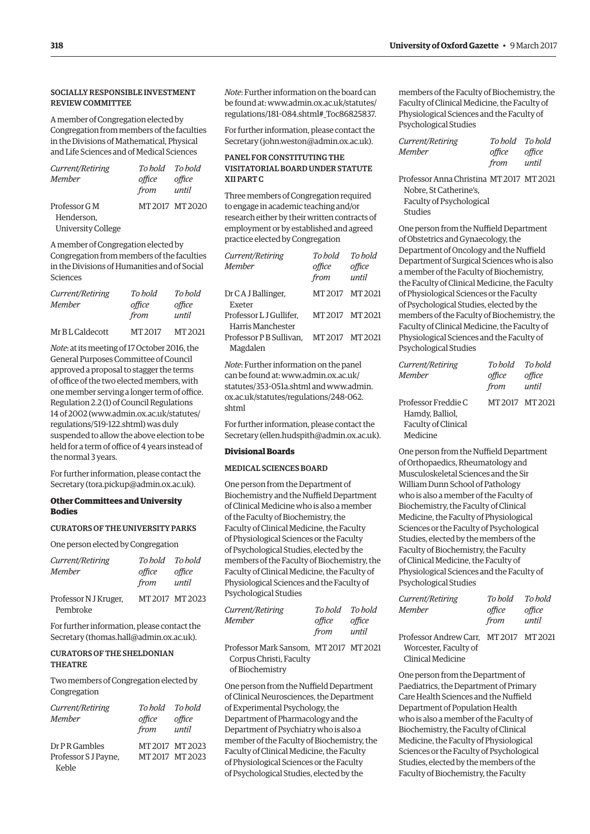#### SOCIALLY RESPONSIBLE INVESTMENT REVIEW COMMITTEE

A member of Congregation elected by Congregation from members of the faculties in the Divisions of Mathematical, Physical and Life Sciences and of Medical Sciences

| Current/Retiring<br><b>Member</b> | To hold To hold<br>office<br>from | office<br>until |
|-----------------------------------|-----------------------------------|-----------------|
| Professor G M                     |                                   | MT 2017 MT 2020 |
| Henderson.                        |                                   |                 |
| <b>University College</b>         |                                   |                 |

A member of Congregation elected by Congregation from members of the faculties in the Divisions of Humanities and of Social Sciences

| Current/Retiring | To bold | To hold |
|------------------|---------|---------|
| <b>Member</b>    | office  | office  |
|                  | from    | until   |
| Mr BL Caldecott  | MT 2017 | MT 2021 |

*Note*: at its meeting of 17 October 2016, the General Purposes Committee of Council approved a proposal to stagger the terms of office of the two elected members, with one member serving a longer term of office. Regulation 2.2 (1) of Council Regulations 14 of 2002 [\(www.admin.ox.ac.uk/statutes/](http://www.admin.ox.ac.uk/statutes/regulations/519-122.shtml) [regulations/519-122.shtml\) wa](http://www.admin.ox.ac.uk/statutes/regulations/519-122.shtml)s duly suspended to allow the above election to be held for a term of office of 4 years instead of the normal 3 years.

For further information, please contact the Secretary [\(tora.pickup@admin.ox.ac.uk\).](mailto:tora.pickup@admin.ox.ac.uk)

#### **Other Committees and University Bodies**

#### CURATORS OF THE UNIVERSITY PARKS

One person elected by Congregation

| Current/Retiring<br><b>Member</b> | To hold To hold<br>office<br>from | office<br>until |
|-----------------------------------|-----------------------------------|-----------------|
| Professor N J Kruger,<br>Pembroke | MT 2017 MT 2023                   |                 |

For further information, please contact the Secretary [\(thomas.hall@admin.ox.ac.uk\).](mailto:thomas.hall@admin.ox.ac.uk)

#### CURATORS OF THE SHELDONIAN THEATRE

Two members of Congregation elected by Congregation

| Current/Retiring     | To hold To hold |                 |
|----------------------|-----------------|-----------------|
| <b>Member</b>        | office          | office          |
|                      | from            | until           |
| Dr P R Gambles       |                 | MT 2017 MT 2023 |
| Professor S J Payne, |                 | MT 2017 MT 2023 |
| Keble                |                 |                 |

*Note*: Further information on the board can [be found at: www.admin.ox.ac.uk/statutes/](www.admin.ox.ac.uk/statutes/regulations/181-084.shtml#_Toc86825837) regulations/181-084.shtml#\_Toc86825837.

For further information, please contact the Secretary ([john.weston@admin.ox.ac.uk\).](mailto:john.weston@admin.ox.ac.uk)

#### PANEL FOR CONSTITUTING THE VISITATORIAL BOARD UNDER STATUTE XII PART C

Three members of Congregation required to engage in academic teaching and/or research either by their written contracts of employment or by established and agreed practice elected by Congregation

| Current/Retiring                             | To hold         | To hold         |
|----------------------------------------------|-----------------|-----------------|
| <b>Member</b>                                | office<br>from  | office<br>until |
| Dr C A J Ballinger,<br>Exeter                | MT2017 MT2021   |                 |
| Professor L J Gullifer.<br>Harris Manchester | MT2017 MT2021   |                 |
| Professor P B Sullivan.<br>Magdalen          | MT 2017 MT 2021 |                 |

*Note*: Further information on the panel can [be found at: www.admin.ox.ac.uk/](www.admin.ox.ac.uk/statutes/353-051a.shtml) statutes/353-051a.shtml and www.admin. [ox.ac.uk/statutes/regulations/248-062.](www.admin.ox.ac.uk/statutes/regulations/248-062.shtml) shtml

For further information, please contact the Secretary ([ellen.hudspith@admin.ox.ac.uk\).](mailto:ellen.hudspith@admin.ox.ac.uk)

#### **Divisional Boards**

#### MEDICAL SCIENCES BOARD

One person from the Department of Biochemistry and the Nuffield Department of Clinical Medicine who is also a member of the Faculty of Biochemistry, the Faculty of Clinical Medicine, the Faculty of Physiological Sciences or the Faculty of Psychological Studies, elected by the members of the Faculty of Biochemistry, the Faculty of Clinical Medicine, the Faculty of Physiological Sciences and the Faculty of Psychological Studies

| Current/Retiring | To hold To hold |        |
|------------------|-----------------|--------|
| Member           | office          | office |
|                  | from            | until  |
|                  |                 |        |

Professor Mark Sansom, MT 2017 MT 2021 Corpus Christi, Faculty of Biochemistry

One person from the Nuffield Department of Clinical Neurosciences, the Department of Experimental Psychology, the Department of Pharmacology and the Department of Psychiatry who is also a member of the Faculty of Biochemistry, the Faculty of Clinical Medicine, the Faculty of Physiological Sciences or the Faculty of Psychological Studies, elected by the

members of the Faculty of Biochemistry, the Faculty of Clinical Medicine, the Faculty of Physiological Sciences and the Faculty of Psychological Studies

| Current/Retiring | To hold To hold |        |
|------------------|-----------------|--------|
| Member           | office          | office |
|                  | from            | until  |

Professor Anna Christina MT 2017 MT 2021 Nobre, St Catherine's, Faculty of Psychological Studies

One person from the Nuffield Department of Obstetrics and Gynaecology, the Department of Oncology and the Nuffield Department of Surgical Sciences who is also a member of the Faculty of Biochemistry, the Faculty of Clinical Medicine, the Faculty of Physiological Sciences or the Faculty of Psychological Studies, elected by the members of the Faculty of Biochemistry, the Faculty of Clinical Medicine, the Faculty of Physiological Sciences and the Faculty of Psychological Studies

| Current/Retiring                       | To hold        | To hold         |
|----------------------------------------|----------------|-----------------|
| Member                                 | office<br>from | office<br>until |
| Professor Freddie C                    | MT2017 MT2021  |                 |
| Hamdy, Balliol,<br>Faculty of Clinical |                |                 |
| Medicine                               |                |                 |

One person from the Nuffield Department of Orthopaedics, Rheumatology and Musculoskeletal Sciences and the Sir William Dunn School of Pathology who is also a member of the Faculty of Biochemistry, the Faculty of Clinical Medicine, the Faculty of Physiological Sciences or the Faculty of Psychological Studies, elected by the members of the Faculty of Biochemistry, the Faculty of Clinical Medicine, the Faculty of Physiological Sciences and the Faculty of Psychological Studies

| Current/Retiring<br>Member                                      | To hold<br>office<br>from | To hold<br>office<br>until |
|-----------------------------------------------------------------|---------------------------|----------------------------|
| Professor Andrew Carr. MT 2017 MT 2021<br>Worcester. Faculty of |                           |                            |

Clinical Medicine

One person from the Department of Paediatrics, the Department of Primary Care Health Sciences and the Nuffield Department of Population Health who is also a member of the Faculty of Biochemistry, the Faculty of Clinical Medicine, the Faculty of Physiological Sciences or the Faculty of Psychological Studies, elected by the members of the Faculty of Biochemistry, the Faculty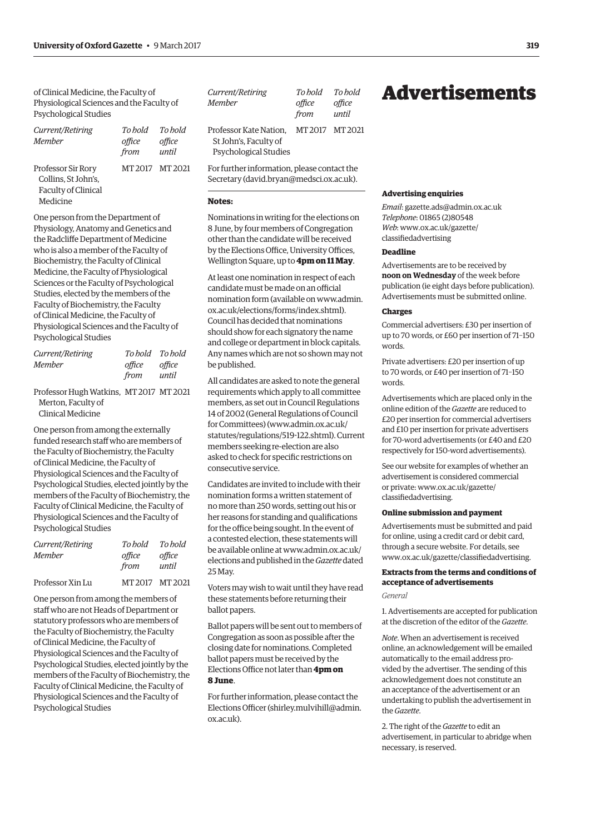<span id="page-8-0"></span>of Clinical Medicine, the Faculty of Physiological Sciences and the Faculty of Psychological Studies

| Current/Retiring<br>Memher                                                   | To hold<br>office<br>from | To hold<br>office<br>until |
|------------------------------------------------------------------------------|---------------------------|----------------------------|
| Professor Sir Rory<br>Collins, St John's,<br>Faculty of Clinical<br>Medicine | MT2017 MT2021             |                            |

One person from the Department of Physiology, Anatomy and Genetics and the Radcliffe Department of Medicine who is also a member of the Faculty of Biochemistry, the Faculty of Clinical Medicine, the Faculty of Physiological Sciences or the Faculty of Psychological Studies, elected by the members of the Faculty of Biochemistry, the Faculty of Clinical Medicine, the Faculty of Physiological Sciences and the Faculty of Psychological Studies

| Current/Retiring |        | To bold To bold |
|------------------|--------|-----------------|
| Member           | office | office          |
|                  | from   | until           |
|                  |        |                 |

Professor Hugh Watkins, MT 2017 MT 2021 Merton, Faculty of Clinical Medicine

One person from among the externally funded research staff who are members of the Faculty of Biochemistry, the Faculty of Clinical Medicine, the Faculty of Physiological Sciences and the Faculty of Psychological Studies, elected jointly by the members of the Faculty of Biochemistry, the Faculty of Clinical Medicine, the Faculty of Physiological Sciences and the Faculty of Psychological Studies

| Current/Retiring | To hold        | To hold         |
|------------------|----------------|-----------------|
| Member           | office<br>from | office<br>until |
| Professor Xin Lu |                | MT 2017 MT 2021 |

One person from among the members of staff who are not Heads of Department or statutory professors who are members of the Faculty of Biochemistry, the Faculty of Clinical Medicine, the Faculty of Physiological Sciences and the Faculty of Psychological Studies, elected jointly by the members of the Faculty of Biochemistry, the Faculty of Clinical Medicine, the Faculty of Physiological Sciences and the Faculty of Psychological Studies

| Current/Retiring                                                         | To hold       | To bold |
|--------------------------------------------------------------------------|---------------|---------|
| Member                                                                   | office        | office  |
|                                                                          | from          | until   |
| Professor Kate Nation.<br>St John's, Faculty of<br>Psychological Studies | MT2017 MT2021 |         |

For further information, please contact the Secretary ([david.bryan@medsci.ox.ac.uk\).](mailto:david.bryan@medsci.ox.ac.uk)

#### **Notes:**

Nominations in writing for the elections on 8 June, by four members of Congregation other than the candidate will be received by the Elections Office, University Offices, Wellington Square, up to **4pm on 11 May**.

At least one nomination in respect of each candidate must be made on an official [nomination form \(available on www.admin.](www.admin.ox.ac.uk/elections/forms/index.shtml) ox.ac.uk/elections/forms/index.shtml). Council has decided that nominations should show for each signatory the name and college or department in block capitals. Any names which are not so shown may not be published.

All candidates are asked to note the general requirements which apply to all committee members, as set out in Council Regulations 14 of 2002 (General Regulations of Council for Committees) [\(www.admin.ox.ac.uk/](http://www.admin.ox.ac.uk/statutes/regulations/519-122.shtml) [statutes/regulations/519-122.shtml\). Cu](http://www.admin.ox.ac.uk/statutes/regulations/519-122.shtml)rrent members seeking re-election are also asked to check for specific restrictions on consecutive service.

Candidates are invited to include with their nomination forms a written statement of no more than 250 words, setting out his or her reasons for standing and qualifications for the office being sought. In the event of a contested election, these statements will [be available online at www.admin.ox.ac.uk/](www.admin.ox.ac.uk/elections) elections and published in the *Gazette* dated 25 May.

Voters may wish to wait until they have read these statements before returning their ballot papers.

Ballot papers will be sent out to members of Congregation as soon as possible after the closing date for nominations. Completed ballot papers must be received by the Elections Office not later than **4pm on 8 June**.

For further information, please contact the Elections Officer ([shirley.mulvihill@admin.](mailto:shirley.mulvihill@admin.ox.ac.uk) [ox.ac.uk\).](mailto:shirley.mulvihill@admin.ox.ac.uk) 

### Advertisements

#### **Advertising enquiries**

*Email*: [gazette.ads@admin.ox.ac.uk](mailto:gazette.ads@admin.ox.ac.uk) *Telephone*: 01865 (2)80548 *Web*[: www.ox.ac.uk/gazette/](www.ox.ac.uk/gazette/classifiedadvertising) classifiedadvertising

#### **Deadline**

Advertisements are to be received by **noon on Wednesday** of the week before publication (ie eight days before publication). Advertisements must be submitted online.

#### **Charges**

Commercial advertisers: £30 per insertion of up to 70 words, or £60 per insertion of 71–150 words.

Private advertisers: £20 per insertion of up to 70 words, or £40 per insertion of 71–150 words.

Advertisements which are placed only in the online edition of the *Gazette* are reduced to £20 per insertion for commercial advertisers and £10 per insertion for private advertisers for 70-word advertisements (or £40 and £20 respectively for 150-word advertisements).

See our website for examples of whether an advertisement is considered commercial [or private: www.ox.ac.uk/gazette/](www.ox.ac.uk/gazette/classifiedadvertising) classifiedadvertising.

#### **Online submission and payment**

Advertisements must be submitted and paid for online, using a credit card or debit card, through a secure website. For details, see [www.ox.ac.uk/gazette/classifiedadvertising.](http://www.ox.ac.uk/gazette/classifiedadvertising)

#### **Extracts from the terms and conditions of acceptance of advertisements**

*General*

1. Advertisements are accepted for publication at the discretion of the editor of the *Gazette*.

*Note*. When an advertisement is received online, an acknowledgement will be emailed automatically to the email address provided by the advertiser. The sending of this acknowledgement does not constitute an an acceptance of the advertisement or an undertaking to publish the advertisement in the *Gazette*.

2. The right of the *Gazette* to edit an advertisement, in particular to abridge when necessary, is reserved.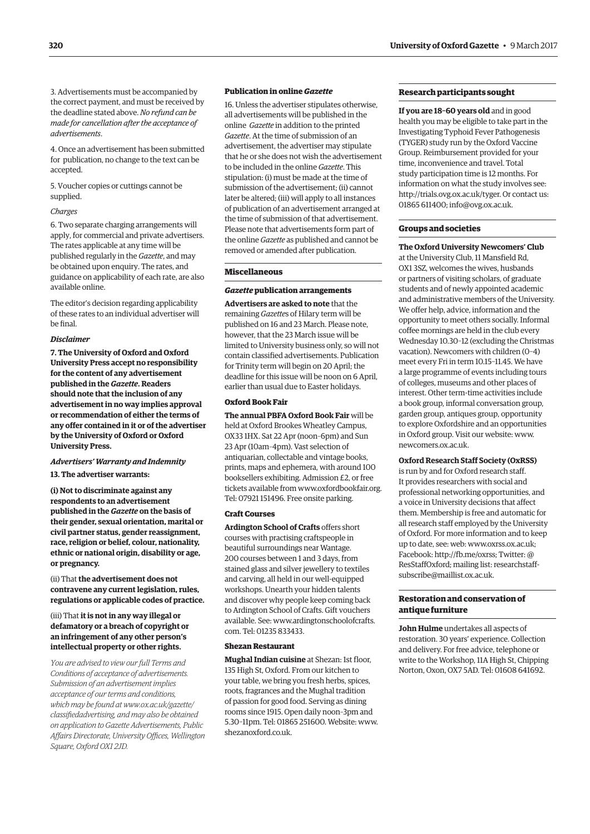3. Advertisements must be accompanied by the correct payment, and must be received by the deadline stated above. *No refund can be made for cancellation after the acceptance of advertisements*.

4. Once an advertisement has been submitted for publication, no change to the text can be accepted.

5. Voucher copies or cuttings cannot be supplied.

#### *Charges*

6. Two separate charging arrangements will apply, for commercial and private advertisers. The rates applicable at any time will be published regularly in the *Gazette*, and may be obtained upon enquiry. The rates, and guidance on applicability of each rate, are also available online.

The editor's decision regarding applicability of these rates to an individual advertiser will be final.

#### *Disclaimer*

**7. The University of Oxford and Oxford University Press accept no responsibility for the content of any advertisement published in the** *Gazette***. Readers should note that the inclusion of any advertisement in no way implies approval or recommendation of either the terms of any offer contained in it or of the advertiser by the University of Oxford or Oxford University Press.**

#### *Advertisers' Warranty and Indemnity*

**13. The advertiser warrants:**

**(i) Not to discriminate against any respondents to an advertisement published in the** *Gazette* **on the basis of their gender, sexual orientation, marital or civil partner status, gender reassignment, race, religion or belief, colour, nationality, ethnic or national origin, disability or age, or pregnancy.**

(ii) That **the advertisement does not contravene any current legislation, rules, regulations or applicable codes of practice.** 

#### (iii) That **it is not in any way illegal or defamatory or a breach of copyright or an infringement of any other person's intellectual property or other rights.**

*You are advised to view our full Terms and Conditions of acceptance of advertisements. Submission of an advertisement implies acceptance of our terms and conditions, which may be found at www.ox.ac.uk/gazette/ [classifiedadvertising, and may also be obtained](www.ox.ac.uk/gazette/classifiedadvertising)  on application to Gazette Advertisements, Public Affairs Directorate, University Offices, Wellington Square, Oxford OX1 2JD.*

#### **Publication in online** *Gazette*

16. Unless the advertiser stipulates otherwise, all advertisements will be published in the online *Gazette* in addition to the printed *Gazette*. At the time of submission of an advertisement, the advertiser may stipulate that he or she does not wish the advertisement to be included in the online *Gazette*. This stipulation: (i) must be made at the time of submission of the advertisement; (ii) cannot later be altered; (iii) will apply to all instances of publication of an advertisement arranged at the time of submission of that advertisement. Please note that advertisements form part of the online *Gazette* as published and cannot be removed or amended after publication.

#### **Miscellaneous**

#### *Gazette* **publication arrangements**

**Advertisers are asked to note** that the remaining *Gazette*s of Hilary term will be published on 16 and 23 March. Please note, however, that the 23 March issue will be limited to University business only, so will not contain classified advertisements. Publication for Trinity term will begin on 20 April; the deadline for this issue will be noon on 6 April, earlier than usual due to Easter holidays.

#### **Oxford Book Fair**

**The annual PBFA Oxford Book Fair** will be held at Oxford Brookes Wheatley Campus, OX33 1HX. Sat 22 Apr (noon–6pm) and Sun 23 Apr (10am–4pm). Vast selection of antiquarian, collectable and vintage books, prints, maps and ephemera, with around 100 booksellers exhibiting. Admission £2, or free tickets available from [www.oxfordbookfair.org.](http://www.oxfordbookfair.org)  Tel: 07921 151496. Free onsite parking.

#### **Craft Courses**

**Ardington School of Crafts** offers short courses with practising craftspeople in beautiful surroundings near Wantage. 200 courses between 1 and 3 days, from stained glass and silver jewellery to textiles and carving, all held in our well-equipped workshops. Unearth your hidden talents and discover why people keep coming back to Ardington School of Crafts. Gift vouchers [available. See: www.ardingtonschoolofcrafts.](www.ardingtonschoolofcrafts.com) com. Tel: 01235 833433.

#### **Shezan Restaurant**

**Mughal Indian cuisine** at Shezan: 1st floor, 135 High St, Oxford. From our kitchen to your table, we bring you fresh herbs, spices, roots, fragrances and the Mughal tradition of passion for good food. Serving as dining rooms since 1915. Open daily noon–3pm and 5.30–11pm. Tel: 01865 251600. Website: [www.](http://www.shezanoxford.co.uk) [shezanoxford.co.uk.](http://www.shezanoxford.co.uk)

#### **Research participants sought**

**If you are 18–60 years old** and in good health you may be eligible to take part in the Investigating Typhoid Fever Pathogenesis (TYGER) study run by the Oxford Vaccine Group. Reimbursement provided for your time, inconvenience and travel. Total study participation time is 12 months. For information on what the study involves see: [http://trials.ovg.ox.ac.uk/tyger. Or](http://trials.ovg.ox.ac.uk/tyger) contact us: 01865 611400; [info@ovg.ox.ac.uk.](mailto:info@ovg.ox.ac.uk)

#### **Groups and societies**

**The Oxford University Newcomers' Club** at the University Club, 11 Mansfield Rd, OX1 3SZ, welcomes the wives, husbands or partners of visiting scholars, of graduate students and of newly appointed academic and administrative members of the University. We offer help, advice, information and the opportunity to meet others socially. Informal coffee mornings are held in the club every Wednesday 10.30–12 (excluding the Christmas vacation). Newcomers with children (0–4) meet every Fri in term 10.15–11.45. We have a large programme of events including tours of colleges, museums and other places of interest. Other term-time activities include a book group, informal conversation group, garden group, antiques group, opportunity to explore Oxfordshire and an opportunities in Oxford group. Visit our website: [www.](http://www.newcomers.ox.ac.uk) [newcomers.ox.ac.uk.](http://www.newcomers.ox.ac.uk)

#### **Oxford Research Staff Society (OxRSS)**

is run by and for Oxford research staff. It provides researchers with social and professional networking opportunities, and a voice in University decisions that affect them. Membership is free and automatic for all research staff employed by the University of Oxford. For more information and to keep up to date, see: web: [www.oxrss.ox.ac.uk;](http://www.oxrss.ox.ac.uk)  Facebook: [http://fb.me/oxrss; Tw](http://fb.me/oxrss)itter: @ [ResStaffOxford; mailing list: researchstaff](mailto:researchstaff-subscribe@maillist.ox.ac.uk)subscribe@maillist.ox.ac.uk.

#### **Restoration and conservation of antique furniture**

**John Hulme** undertakes all aspects of restoration. 30 years' experience. Collection and delivery. For free advice, telephone or write to the Workshop, 11A High St, Chipping Norton, Oxon, OX7 5AD. Tel: 01608 641692.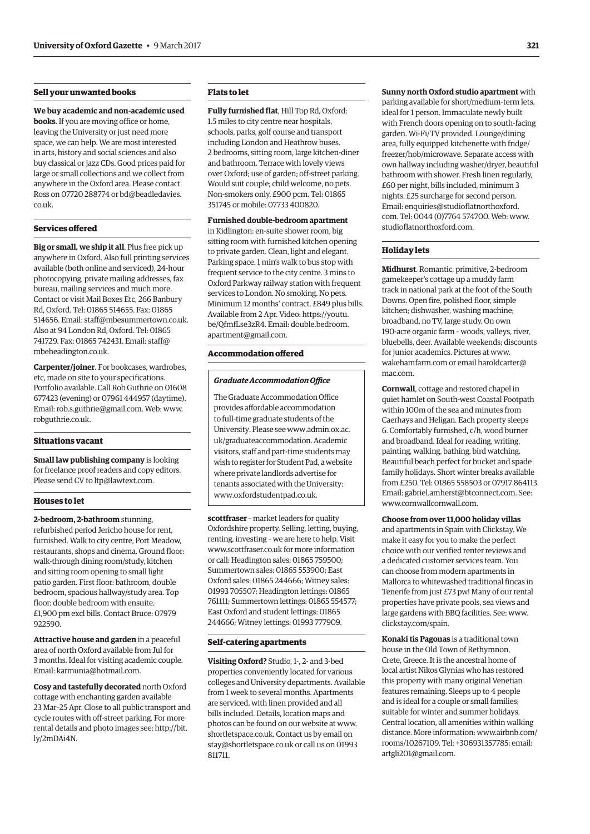#### **Sell your unwanted books**

**We buy academic and non-academic used books**. If you are moving office or home, leaving the University or just need more space, we can help. We are most interested in arts, history and social sciences and also buy classical or jazz CDs. Good prices paid for large or small collections and we collect from anywhere in the Oxford area. Please contact [Ross on 07720 288774 or bd@beadledavies.](mailto:bd@beadledavies.co.uk) co.uk.

#### **Services offered**

**Big or small, we ship it all**. Plus free pick up anywhere in Oxford. Also full printing services available (both online and serviced), 24-hour photocopying, private mailing addresses, fax bureau, mailing services and much more. Contact or visit Mail Boxes Etc, 266 Banbury Rd, Oxford. Tel: 01865 514655. Fax: 01865 514656. Email: [staff@mbesummertown.co.uk.](mailto:staff@mbesummertown.co.uk)  Also at 94 London Rd, Oxford. Tel: 01865 [741729. Fax: 01865 742431. Email: staff@](mailto:staff@mbeheadington.co.uk) mbeheadington.co.uk.

**Carpenter/joiner**. For bookcases, wardrobes, etc, made on site to your specifications. Portfolio available. Call Rob Guthrie on 01608 677423 (evening) or 07961 444957 (daytime). Email: [rob.s.guthrie@gmail.com. W](mailto:rob.s.guthrie@gmail.com)eb: [www.](http://www.robguthrie.co.uk) [robguthrie.co.uk.](http://www.robguthrie.co.uk)

#### **Situations vacant**

**Small law publishing company** is looking for freelance proof readers and copy editors. Please send CV to [ltp@lawtext.com.](mailto:ltp@lawtext.com)

#### **Houses to let**

**2-bedroom, 2-bathroom** stunning, refurbished period Jericho house for rent, furnished. Walk to city centre, Port Meadow, restaurants, shops and cinema. Ground floor: walk-through dining room/study, kitchen and sitting room opening to small light patio garden. First floor: bathroom, double bedroom, spacious hallway/study area. Top floor: double bedroom with ensuite. £1,900 pm excl bills. Contact Bruce: 07979 922590.

**Attractive house and garden** in a peaceful area of north Oxford available from Jul for 3 months. Ideal for visiting academic couple. Email: [karmunia@hotmail.com.](mailto:karmunia@hotmail.com)

**Cosy and tastefully decorated** north Oxford cottage with enchanting garden available 23 Mar–25 Apr. Close to all public transport and cycle routes with off-street parking. For more [rental details and photo images see: http://bit.](http://bit.ly/2mDAi4N) ly/2mDAi4N.

#### **Flats to let**

**Fully furnished flat**, Hill Top Rd, Oxford: 1.5 miles to city centre near hospitals, schools, parks, golf course and transport including London and Heathrow buses. 2 bedrooms, sitting room, large kitchen-diner and bathroom. Terrace with lovely views over Oxford; use of garden; off-street parking. Would suit couple; child welcome, no pets. Non-smokers only. £900 pcm. Tel: 01865 351745 or mobile: 07733 400820.

**Furnished double-bedroom apartment** in Kidlington: en-suite shower room, big sitting room with furnished kitchen opening to private garden. Clean, light and elegant. Parking space. 1 min's walk to bus stop with frequent service to the city centre. 3 mins to Oxford Parkway railway station with frequent services to London. No smoking. No pets. Minimum 12 months' contract. £849 plus bills. Availab[le from 2 Apr. Video: https://youtu.](https://youtu.be/QfmfLse3zR4) be/QfmfLse3zR4. Email: double.bedroom. [apartment@gmail.com.](mailto:double.bedroom.apartment@gmail.com)

#### **Accommodation offered**

#### *Graduate Accommodation Office*

The Graduate Accommodation Office provides affordable accommodation to full-time graduate students of the [University. Please see www.admin.ox.ac.](www.admin.ox.ac.uk/graduateaccommodation) uk/graduateaccommodation. Academic visitors, staff and part-time students may wish to register for Student Pad, a website where private landlords advertise for tenants associated with the University: [www.oxfordstudentpad.co.uk.](http://www.oxfordstudentpad.co.uk)

**scottfraser** – market leaders for quality Oxfordshire property. Selling, letting, buying, renting, investing – we are here to help. Visit [www.scottfraser.co.uk fo](http://www.scottfraser.co.uk)r more information or call: Headington sales: 01865 759500; Summertown sales: 01865 553900; East Oxford sales: 01865 244666; Witney sales: 01993 705507; Headington lettings: 01865 761111; Summertown lettings: 01865 554577; East Oxford and student lettings: 01865 244666; Witney lettings: 01993 777909.

#### **Self-catering apartments**

**Visiting Oxford?** Studio, 1-, 2- and 3-bed properties conveniently located for various colleges and University departments. Available from 1 week to several months. Apartments are serviced, with linen provided and all bills included. Details, location maps and photos can be found on our website at [www.](http://www.shortletspace.co.uk) [shortletspace.co.uk. Co](http://www.shortletspace.co.uk)ntact us by email on [stay@shortletspace.co.uk or](mailto:stay@shortletspace.co.uk) call us on 01993 811711.

**Sunny north Oxford studio apartment** with parking available for short/medium-term lets, ideal for 1 person. Immaculate newly built with French doors opening on to south-facing garden. Wi-Fi/TV provided. Lounge/dining area, fully equipped kitchenette with fridge/ freezer/hob/microwave. Separate access with own hallway including washer/dryer, beautiful bathroom with shower. Fresh linen regularly, £60 per night, bills included, minimum 3 nights. £25 surcharge for second person. Em[ail: enquiries@studioflatnorthoxford.](mailto:enquiries@studioflatnorthoxford.com) com. Tel: 0044 (0)7764 574700. Web: [www.](http://www.studioflatnorthoxford.com) [studioflatnorthoxford.com.](http://www.studioflatnorthoxford.com)

#### **Holiday lets**

**Midhurst**. Romantic, primitive, 2-bedroom gamekeeper's cottage up a muddy farm track in national park at the foot of the South Downs. Open fire, polished floor, simple kitchen; dishwasher, washing machine; broadband, no TV, large study. On own 190-acre organic farm – woods, valleys, river, bluebells, deer. Available weekends; discounts for junior academics. Pictures at [www.](http://www.wakehamfarm.com) [wakehamfarm.com or](http://www.wakehamfarm.com) e[mail haroldcarter@](mailto:haroldcarter@mac.com) mac.com.

**Cornwall**, cottage and restored chapel in quiet hamlet on South-west Coastal Footpath within 100m of the sea and minutes from Caerhays and Heligan. Each property sleeps 6. Comfortably furnished, c/h, wood burner and broadband. Ideal for reading, writing, painting, walking, bathing, bird watching. Beautiful beach perfect for bucket and spade family holidays. Short winter breaks available from £250. Tel: 01865 558503 or 07917 864113. Email: [gabriel.amherst@btconnect.com. Se](mailto:gabriel.amherst@btconnect.com)e: [www.cornwallcornwall.com.](http://www.cornwallcornwall.com)

**Choose from over 11,000 holiday villas** and apartments in Spain with Clickstay. We make it easy for you to make the perfect choice with our verified renter reviews and a dedicated customer services team. You can choose from modern apartments in Mallorca to whitewashed traditional fincas in Tenerife from just £73 pw! Many of our rental properties have private pools, sea views and large gardens with BBQ facilities. See: [www.](http://www.clickstay.com/spain) [clickstay.com/spain.](http://www.clickstay.com/spain)

**Konaki tis Pagonas** is a traditional town house in the Old Town of Rethymnon, Crete, Greece. It is the ancestral home of local artist Nikos Glynias who has restored this property with many original Venetian features remaining. Sleeps up to 4 people and is ideal for a couple or small families; suitable for winter and summer holidays. Central location, all amenities within walking [distance. More information: www.airbnb.com/](www.airbnb.com/rooms/10267109) rooms/10267109. Tel: +306931357785; email: [artgli201@gmail.com.](mailto:artgli201@gmail.com)